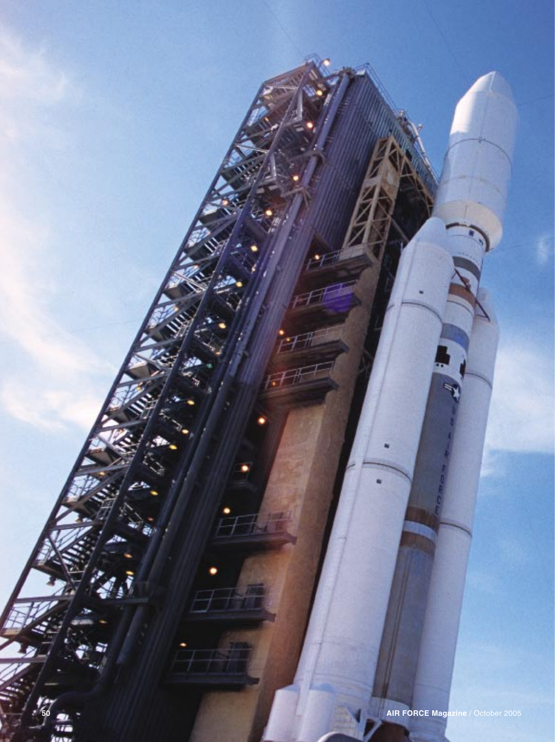**AIR FORCE Magazine** / October 2005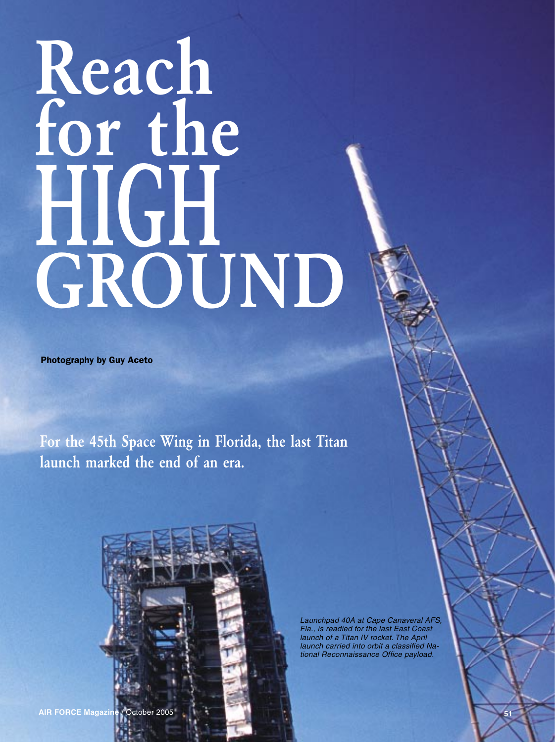## Reach for the **HIGH** GROUND

Photography by Guy Aceto

For the 45th Space Wing in Florida, the last Titan launch marked the end of an era.



Launchpad 40A at Cape Canaveral AFS, Fla., is readied for the last East Coast launch of a Titan IV rocket. The April launch carried into orbit a classified National Reconnaissance Office payload.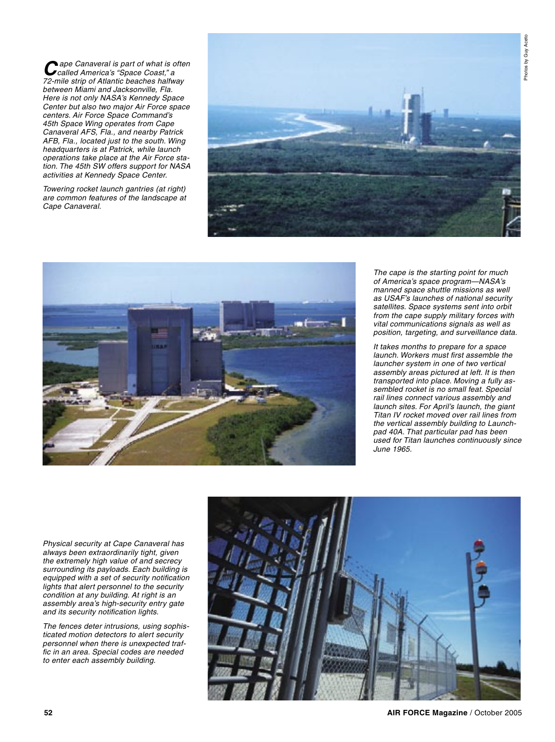Photos by Guy Aceto

Photos by Guy Aceto

Cape Canaveral is part of what is often<br>
Called America's "Space Coast," a 72-mile strip of Atlantic beaches halfway between Miami and Jacksonville, Fla. Here is not only NASA's Kennedy Space Center but also two major Air Force space centers. Air Force Space Command's 45th Space Wing operates from Cape Canaveral AFS, Fla., and nearby Patrick AFB, Fla., located just to the south. Wing headquarters is at Patrick, while launch operations take place at the Air Force sta tion. The 45th SW offers support for NASA activities at Kennedy Space Center.

Towering rocket launch gantries (at right) are common features of the landscape at Cape Canaveral.





The cape is the starting point for much of America's space program—NASA's manned space shuttle missions as well as USAF's launches of national security satellites. Space systems sent into orbit from the cape supply military forces with vital communications signals as well as position, targeting, and surveillance data.

It takes months to prepare for a space launch. Workers must first assemble the launcher system in one of two vertical assembly areas pictured at left. It is then transported into place. Moving a fully as sembled rocket is no small feat. Special rail lines connect various assembly and launch sites. For April's launch, the giant Titan IV rocket moved over rail lines from the vertical assembly building to Launch pad 40A. That particular pad has been used for Titan launches continuously since June 1965.

Physical security at Cape Canaveral has always been extraordinarily tight, given the extremely high value of and secrecy surrounding its payloads. Each building is equipped with a set of security notification lights that alert personnel to the security condition at any building. At right is an assembly area's high-security entry gate and its security notification lights.

The fences deter intrusions, using sophis ticated motion detectors to alert security personnel when there is unexpected traffic in an area. Special codes are needed to enter each assembly building.

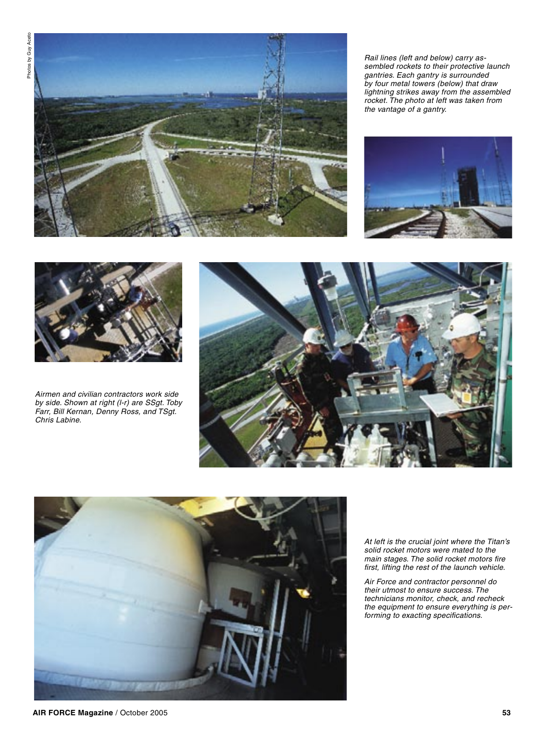

Rail lines (left and below) carry assembled rockets to their protective launch gantries. Each gantry is surrounded by four metal towers (below) that draw lightning strikes away from the assembled rocket. The photo at left was taken from the vantage of a gantry.





Airmen and civilian contractors work side by side. Shown at right (l-r) are SSgt. Toby Farr, Bill Kernan, Denny Ross, and TSgt. Chris Labine.





At left is the crucial joint where the Titan's solid rocket motors were mated to the main stages. The solid rocket motors fire first, lifting the rest of the launch vehicle.

Air Force and contractor personnel do their utmost to ensure success. The technicians monitor, check, and recheck the equipment to ensure everything is performing to exacting specifications.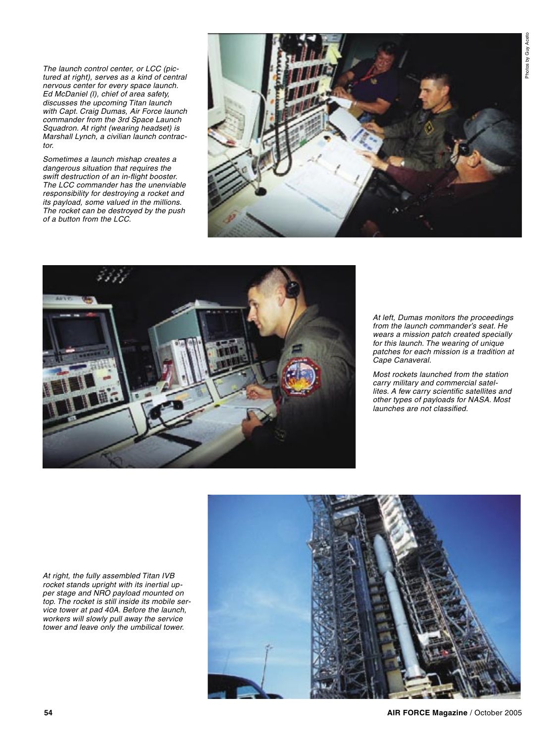The launch control center, or LCC (pictured at right), serves as a kind of central nervous center for every space launch. Ed McDaniel (l), chief of area safety, discusses the upcoming Titan launch with Capt. Craig Dumas, Air Force launch commander from the 3rd Space Launch Squadron. At right (wearing headset) is Marshall Lynch, a civilian launch contractor.

Sometimes a launch mishap creates a dangerous situation that requires the swift destruction of an in-flight booster. The LCC commander has the unenviable responsibility for destroying a rocket and its payload, some valued in the millions. The rocket can be destroyed by the push of a button from the LCC.





At left, Dumas monitors the proceedings from the launch commander's seat. He wears a mission patch created specially for this launch. The wearing of unique patches for each mission is a tradition at Cape Canaveral.

Most rockets launched from the station carry military and commercial satellites. A few carry scientific satellites and other types of payloads for NASA. Most launches are not classified.

At right, the fully assembled Titan IVB rocket stands upright with its inertial upper stage and NRO payload mounted on top. The rocket is still inside its mobile service tower at pad 40A. Before the launch, workers will slowly pull away the service tower and leave only the umbilical tower.

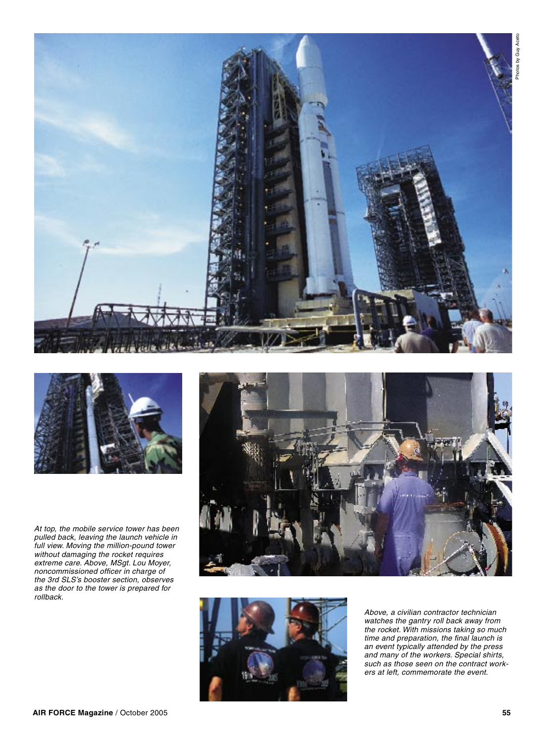



At top, the mobile service tower has been pulled back, leaving the launch vehicle in full view. Moving the million-pound tower without damaging the rocket requires extreme care. Above, MSgt. Lou Moyer, noncommissioned officer in charge of the 3rd SLS's booster section, observes as the door to the tower is prepared for rollback.





Above, a civilian contractor technician watches the gantry roll back away from the rocket. With missions taking so much time and preparation, the final launch is an event typically attended by the press and many of the workers. Special shirts, such as those seen on the contract workers at left, commemorate the event.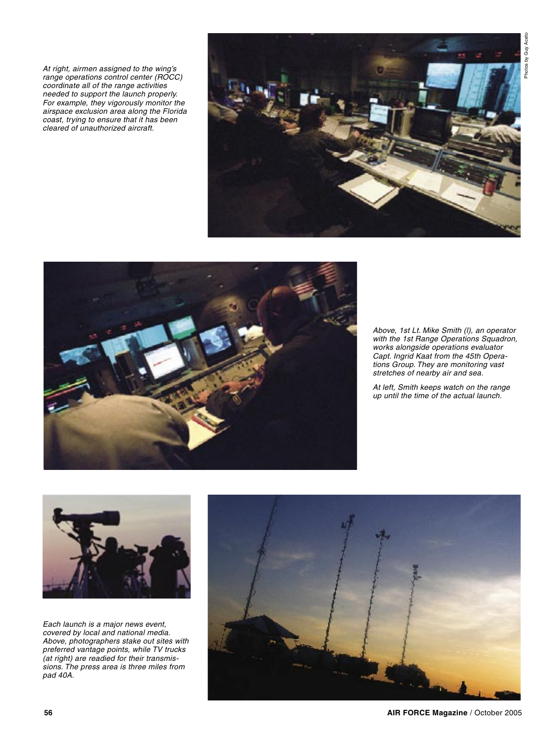At right, airmen assigned to the wing's range operations control center (ROCC) coordinate all of the range activities needed to support the launch properly. For example, they vigorously monitor the airspace exclusion area along the Florida coast, trying to ensure that it has been cleared of unauthorized aircraft.





Above, 1st Lt. Mike Smith (l), an operator with the 1st Range Operations Squadron, works alongside operations evaluator Capt. Ingrid Kaat from the 45th Operations Group. They are monitoring vast stretches of nearby air and sea.

At left, Smith keeps watch on the range up until the time of the actual launch.



Each launch is a major news event, covered by local and national media. Above, photographers stake out sites with preferred vantage points, while TV trucks (at right) are readied for their transmissions. The press area is three miles from pad 40A.